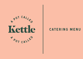

#### **CATERING MENU**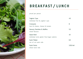

## BREAKFAST/LUNCH

priced per person

| Yoghurt Cups<br>individual fruit & yoghurt cups          | 4.5       |
|----------------------------------------------------------|-----------|
| Croissants<br>ham & cheese, cheese & tomato              | 8         |
| Savoury Danishes & Muffins<br>mixed flavours             | 5.5       |
| Salad Bowl<br>individual serve gluten free/vegan options | 10        |
| Sushi Platter<br>mix of cut sushi rolls                  | 6.5       |
| Sushi Packs<br>whole hand rolls                          | 3.20/roll |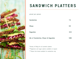

# SANDWICH PLATTERS

priced per person

| Sandwiches                           | 7.5  |
|--------------------------------------|------|
| <b>Wraps</b>                         | 9.5  |
| <b>Baguettes</b>                     | 10.5 |
| Mix of Sandwiches, Wraps & Baguettes | 9.80 |

\*Variety of fillings for all sandwich platters \*\*Vegetarian and vegan options available on request \*\*\*Gluten free bread available for sandwiches only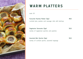

### **WARM PLATTERS**

suits 10

| Favourite Pastries Platter (3pp)                      | 48.0 |
|-------------------------------------------------------|------|
| cocktail pies, pasties and sausage rolls with ketchup |      |
|                                                       |      |
| Vegetarian Savouries (2pp)                            | 50.0 |
| variety of vegetarian quiches and pastries            |      |
|                                                       |      |
|                                                       |      |
| Assorted Mini Quiche (2pp)                            |      |

variety of cocktail quiche, assorted toppings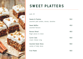

### **SWEET PLATTERS**

suits 10

| Sweets & Pastries                                       | 50.0 |
|---------------------------------------------------------|------|
| assorted petit tartlets, donuts, danishes               |      |
| <b>Sweet Muffins</b><br>assorted flavours               | 45.0 |
| Banana Bread<br>finger pieces to share                  | 40.0 |
| <b>Carrot Cake</b><br>cream cheese icing                | 50.0 |
| <b>Assorted Sweet Slices</b><br>variety of daily slices | 50.0 |
| <b>Fruit Platter</b>                                    | 50   |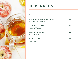

#### **BEVERAGES**

priced per person

| Freshly Brewed Coffee & Tea Station | 4.5 |
|-------------------------------------|-----|
| milk and sugar, alt milk            |     |
| 300ml Juice Selection               | 4.0 |
| variety of flavours                 |     |
| 600ml Mt Franklin Water             | 3.0 |
| still water bottles                 |     |
| 600ml Soft Drink                    | 4.5 |
| coke range                          |     |